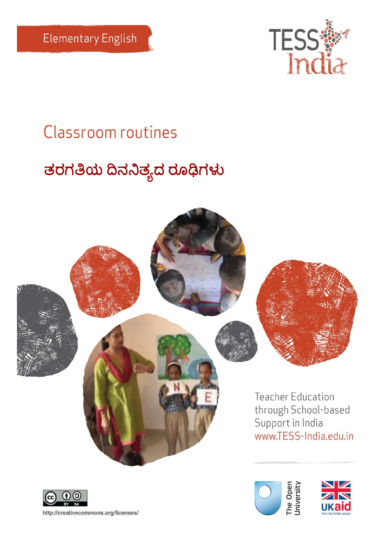

# **Classroom routines**

# <mark>ತರಗತಿಯ ದಿನನಿ</mark>ತ್ಯದ ರೂಢಿಗಳು





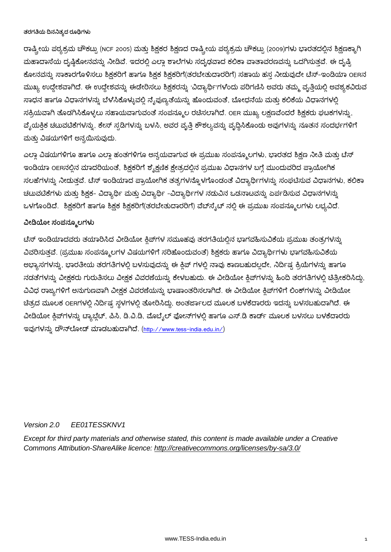ರಾಷ್ಟ್ರೀಯ ಪಠ್ಯಕ್ರಮ ಚೌಕಟ್ಟು (NCF 2005) ಮತ್ತು ಶಿಕ್ಷಕರ ಶಿಕ್ಷಣದ ರಾಷ್ಟ್ರೀಯ ಪಠ್ಯಕ್ರಮ ಚೌಕಟ್ಟು (2009)ಗಳು ಭಾರತದಲ್ಲಿನ ಶಿಕ್ಷಣಕ್ಕಾಗಿ ಮಹಾದಾಸೆಯ ದೃಷ್ಠಿಕೋನವನ್ನು ನೀಡಿವೆ. ಇದರಲ್ಲಿ ಎಲ್ಲಾ ಶಾಲೆಗಳು ಸದೃಢವಾದ ಕಲಿಕಾ ವಾತಾವರಣವನ್ನು ಒದಗಿಸುತ್ತವೆ. ಈ ದೃಷ್ಟಿ ಕೋನವನ್ನು ಸಾಕಾರಗೊಳಿಸಲು ಶಿಕ್ಷಕರಿಗೆ ಹಾಗೂ ಶಿಕ್ಷಕ ಶಿಕ್ಷಕರಿಗೆ(ತರಬೇತುದಾರರಿಗೆ) ಸಹಾಯ ಹಸ್ತ ನೀಡುವುದೇ ಟೆಸ್–ಇಂಡಿಯಾ OERನ ಮುಖ್ಯ ಉದ್ದೇಶವಾಗಿದೆ. ಈ ಉದ್ದೇಶವನ್ನು ಈಡೇರಿಸಲು ಶಿಕ್ಷಕರನ್ನು 'ವಿದ್ಯಾರ್ಥಿ'ಗಳೆಂದು ಪರಿಗಣಿಸಿ ಅವರು ತಮ್ಮ ವೃತ್ತಿಯಲ್ಲಿ ಅವಶ್ಯಕವಿರುವ ಸಾಧನ ಹಾಗೂ ವಿಧಾನಗಳನ್ನು ಬೆಳೆಸಿಕೊಳ್ಳುವಲ್ಲಿ ನ್ಯೆಪುಣ್ಯತೆಯನ್ನು ಹೊಂದುವಂತೆ, ಬೋಧನೆಯ ಮತ್ತು ಕಲಿಕೆಯ ವಿಧಾನಗಳಲ್ಲಿ ಸಕ್ರಿಯವಾಗಿ ತೊಡಗಿಸಿಕೊಳ್ಳಲು ಸಹಾಯವಾಗುವಂತೆ ಸಂಪನ್ಮೂಲ ರಚಿಸಲಾಗಿದೆ. OER ಮುಖ್ಯ ಲಕ್ಷಣವೆಂದರೆ ಶಿಕ್ಷಕರು ಘಟಕಗಳನ್ನು, ವೈಯಕ್ತಿಕ ಚಟುವಟಿಕೆಗಳನ್ನು, ಕೇಸ್ ಸ್ಪಡಿಗಳನ್ನು ಬಳಸಿ, ಅವರ ವೃತ್ತಿ ಕೌಶಲ್ಯವನ್ನು ವೃದ್ಧಿಸಿಕೊಂಡು ಅವುಗಳನ್ನು ನೂತನ ಸಂದರ್ಭಗಳಿಗೆ ಮತ್ತು ವಿಷಯಗಳಿಗೆ ಅನ್ವಯಿಸುವುದು.

ಎಲ್ಲಾ ವಿಷಯಗಳಿಗೂ ಹಾಗೂ ಎಲ್ಲಾ ಹಂತಗಳಿಗೂ ಅನ್ವಯವಾಗುವ ಈ ಪ್ರಮುಖ ಸಂಪನ್ಮೂಲಗಳು, ಭಾರತದ ಶಿಕ್ಷಣ ನೀತಿ ಮತ್ತು ಟೆಸ್ ಇಂಡಿಯಾ OERನಲ್ಲಿನ ಮಾದರಿಯಂತೆ, ಶಿಕ್ಷಕರಿಗೆ ಶ್ಶೈಕ್ಷಣಿಕ ಕ್ಷೇತ್ರದಲ್ಲಿನ ಪ್ರಮುಖ ವಿಧಾನಗಳ ಬಗ್ಗೆ ಮುಂದುವರಿದ ಪ್ರಾಯೋಗಿಕ ಸಲಹೆಗಳನ್ನು ನೀಡುತ್ತವೆ. ಟೆಸ್ ಇಂಡಿಯಾದ ಪ್ರಾಯೋಗಿಕ ತತ್ವಗಳನ್ನೊಳಗೊಂಡಂತೆ ವಿದ್ಯಾರ್ಥಿಗಳನ್ನು ಸಂಘಟಿಸುವ ವಿಧಾನಗಳು, ಕಲಿಕಾ ಚಟುವಟಿಕೆಗಳು ಮತ್ತು ಶಿಕ್ಷಕ- ವಿದ್ಯಾರ್ಥಿ ಮತ್ತು ವಿದ್ಯಾರ್ಥಿ –ವಿದ್ಯಾರ್ಥಿಗಳ ನಡುವಿನ ಒಡನಾಟವನ್ನು ಏರ್ಪಡಿಸುವ ವಿಧಾನಗಳನ್ನು ಒಳಗೊಂಡಿದೆ. ಶಿಕ್ಷಕರಿಗೆ ಹಾಗೂ ಶಿಕ್ಷಕ ಶಿಕ್ಷಕರಿಗೆ(ತರಬೇತುದಾರರಿಗೆ) ವೆಬ್ಸೈಟ್ ನಲ್ಲಿ ಈ ಪ್ರಮುಖ ಸಂಪನ್ಮೂಲಗಳು ಲಭ್ಯವಿದೆ.

#### **ವೀಡಿಯೀ ಸಂಪನೂೂಲಗಳು**

ಟೆಸ್ ಇಂಡಿಯಾದವರು ತಯಾರಿಸಿದ ವೀಡಿಯೋ ಕ್ತಿಪ್ಗಳ ಸಮೂಹವು ತರಗತಿಯಲ್ಲಿನ ಭಾಗವಹಿಸುವಿಕೆಯ ಪ್ರಮುಖ ತಂತ್ರಗಳನ್ನು ವಿವರಿಸುತ್ತವೆ. (ಪ್ರಮುಖ ಸಂಪನ್ಮೂಲಗಳ ವಿಷಯಗಳಿಗೆ ಸರಿಹೊಂದುವಂತೆ) ಶಿಕ್ಷಕರು ಹಾಗೂ ವಿದ್ಯಾರ್ಥಿಗಳು ಭಾಗವಹಿಸುವಿಕೆಯ ಅಭ್ಯಾಸಗಳನ್ನು, ಭಾರತೀಯ ತರಗತಿಗಳಲ್ಲಿ ಬಳಸುವುದನ್ನು ಈ ಕ್ಲಿಪ್ ಗಳಲ್ಲಿ ನಾವು ಕಾಣಬಹುದಲ್ಲದೇ, ನಿರ್ದಿಷ್ಟ ಕ್ರಿಯೆಗಳನ್ನು ಹಾಗೂ ನಡತೆಗಳನ್ನು ವೀಕ್ಷಕರು ಗುರುತಿಸಲು ವೀಕ್ಷಕ ವಿವರಣೆಯನ್ನು ಕೇಳಬಹುದು. ಈ ವೀಡಿಯೋ ಕ್ತಿಪ್ಗಳನ್ನು ಹಿಂದಿ ತರಗತಿಗಳಲ್ಲಿ ಚಿತ್ರೀಕರಿಸಿದ್ದು, ವಿವಿಧ ರಾಜ್ಯಗಳಿಗೆ ಅನುಗುಣವಾಗಿ ವೀಕ್ಷಕ ವಿವರಣೆಯನ್ನು ಭಾಷಾಂತರಿಸಲಾಗಿದೆ. ಈ ವೀಡಿಯೋ ಕ್ಲಿಪ್1ಳಿಗೆ ಲಿಂಕ್1ಳನ್ನು ವೀಡಿಯೋ ಚಿತ್ರದ ಮೂಲಕ OERಗಳಲ್ಲಿ ನಿರ್ದಿಷ್ಟ ಸ್ಥಳಗಳಲ್ಲಿ ತೋರಿಸಿದ್ದು, ಅಂತರ್ಜಾಲದ ಮೂಲಕ ಬಳಕೆದಾರರು ಇದನ್ನು ಬಳಸಬಹುದಾಗಿದೆ. ಈ ವೀಡಿಯೋ ಕ್ಲಿಪ್ಗಳನ್ನು ಟ್ಯಾಬ್ಲೆಟ್, ಪಿಸಿ, ಡಿ.ವಿ.ಡಿ, ಮೊಬೈಲ್ ಫೋನ್ಗಳಲ್ಲಿ ಹಾಗೂ ಎಸ್.ಡಿ ಕಾರ್ಡ್ ಮೂಲಕ ಬಳಸಲು ಬಳಕೆದಾರರು ಇವುಗಳನ್ನು ಡೌನ್ಲೋಡ್ ಮಾಡಬಹುದಾಗಿದೆ. ([http://www.tess-india.edu.in/\)](http://www.tess-india.edu.in/)

#### *Version 2.0 EE01TESSKNV1*

*Except for third party materials and otherwise stated, this content is made available under a Creative Commons Attribution-ShareAlike licence:<http://creativecommons.org/licenses/by-sa/3.0/>*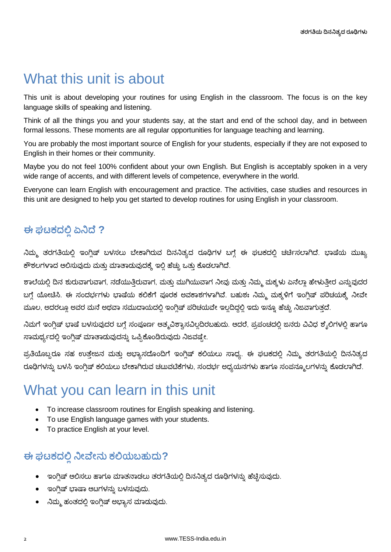# What this unit is about

This unit is about developing your routines for using English in the classroom. The focus is on the key language skills of speaking and listening.

Think of all the things you and your students say, at the start and end of the school day, and in between formal lessons. These moments are all regular opportunities for language teaching and learning.

You are probably the most important source of English for your students, especially if they are not exposed to English in their homes or their community.

Maybe you do not feel 100% confident about your own English. But English is acceptably spoken in a very wide range of accents, and with different levels of competence, everywhere in the world.

Everyone can learn English with encouragement and practice. The activities, case studies and resources in this unit are designed to help you get started to develop routines for using English in your classroom.

### **ಈ ಘಟಕದಲ್ಲಿಏನಿದೆ ?**

ನಿಮ್ಮ ತರಗತಿಯಲ್ಲಿ ಇಂಗ್ಲಿಷ್ ಬಳಸಲು ಬೇಕಾಗಿರುವ ದಿನನಿತ್ಯದ ರೂಢಿಗಳ ಬಗ್ಗೆ ಈ ಘಟಕದಲ್ಲಿ ಚರ್ಚಿಸಲಾಗಿದೆ. ಭಾಷೆಯ ಮುಖ್ಯ ಕೌಶಲಗಳಾದ ಆಲಿಸುವುದು ಮತ್ತು ಮಾತಾಡುವುದಕ್ಕೆ ಇಲ್ಲಿ ಹೆಚ್ಚು ಒತ್ತು ಕೊಡಲಾಗಿದೆ.

ಶಾಲೆಯಲ್ಲಿ ದಿನ ಶುರುವಾಗುವಾಗ, ನಡೆಯುತ್ತಿರುವಾಗ, ಮತ್ತು ಮುಗಿಯುವಾಗ ನೀವು ಮತ್ತು ನಿಮ್ಮ ಮಕ್ಕಳು ಏನೆಲ್ಲಾ ಹೇಳುತ್ತೀರ ಎನ್ನುವುದರ ಬಗ್ಗೆ ಯೋಚಿಸಿ. ಈ ಸಂದರ್ಭಗಳು ಭಾಷೆಯ ಕಲಿಕೆಗೆ ಪೂರಕ ಅವಕಾಶಗಳಾಗಿವೆ. ಬಹುಶಃ ನಿಮ್ಮ ಮಕ್ಕಳಿಗೆ ಇಂಗ್ಲಿಷ್ ಪರಿಚಯಕ್ಕೆ ನೀವೇ ಮೂಲ, ಅದರಲ್ಲೂ ಅವರ ಮನೆ ಅಥವಾ ಸಮುದಾಯದಲ್ಲಿ ಇಂಗ್ಲಿಷ್ ಪರಿಚಯವೇ ಇಲ್ಲದಿದ್ದಲ್ಲಿ ಇದು ಇನ್ನೂ ಹೆಚ್ಚು ನಿಜವಾಗುತ್ತದೆ.

ನಿಮಗೆ ಇಂಗ್ಲಿಷ್ ಭಾಷೆ ಬಳಸುವುದರ ಬಗ್ಗೆ ಸಂಪೂರ್ಣ ಆತ್ಮವಿಶ್ವಾಸವಿಲ್ಲದಿರಬಹುದು. ಆದರೆ, ಪ್ರಪಂಚದಲ್ಲಿ ಜನರು ವಿವಿಧ ಶೈಲಿಗಳಲ್ಲಿ ಹಾಗೂ ಸಾಮರ್ಥ್ಯದಲ್ಲಿ ಇಂಗ್ಲಿಷ್ ಮಾತಾಡುವುದನ್ನು ಒಪ್ಪಿಕೊಂಡಿರುವುದು ನಿಜವಷ್ಟೇ.

ಪ್ರತಿಯೊಬ್ಬರೂ ಸಹ ಉತ್ತೇಜನ ಮತ್ತು ಅಭ್ಯಾಸದೊಂದಿಗೆ ಇಂಗ್ಲಿಷ್ ಕಲಿಯಲು ಸಾಧ್ಯ. ಈ ಘಟಕದಲ್ಲಿ ನಿಮ್ಮ ತರಗತಿಯಲ್ಲಿ ದಿನನಿತ್ಯದ ರೂಢಿಗಳನ್ನು ಬಳಸಿ ಇಂಗ್ಲಿಷ್ ಕಲಿಯಲು ಬೇಕಾಗಿರುವ ಚಟುವಟಿಕೆಗಳು, ಸಂದರ್ಭ ಅಧ್ಯಯನಗಳು ಹಾಗೂ ಸಂಪನ್ಮೂಲಗಳನ್ನು ಕೊಡಲಾಗಿದೆ.

# What you can learn in this unit

- To increase classroom routines for English speaking and listening.
- To use English language games with your students.
- To practice English at your level.

### **ಈ ಘಟಕದಲ್ಲಿ ನಿೀವೆೀನು ಕಲ್ಲಯಬಹುದು?**

- ಇಂಗ್ಲಿಷ್ ಆಲಿಸಲು ಹಾಗೂ ಮಾತನಾಡಲು ತರಗತಿಯಲ್ಲಿ ದಿನನಿತ್ಯದ ರೂಢಿಗಳನ್ನು ಹೆಚ್ಚಿಸುವುದು.
- ಇಂಗ್ಲಿಷ್ ಭಾಷಾ ಆಟಗಳನ್ನು ಬಳಸುವುದು.
- ನಿಮ್ಮ ಹಂತದಲ್ಲಿ ಇಂಗ್ಲಿಷ್ ಅಭ್ಯಾಸ ಮಾಡುವುದು.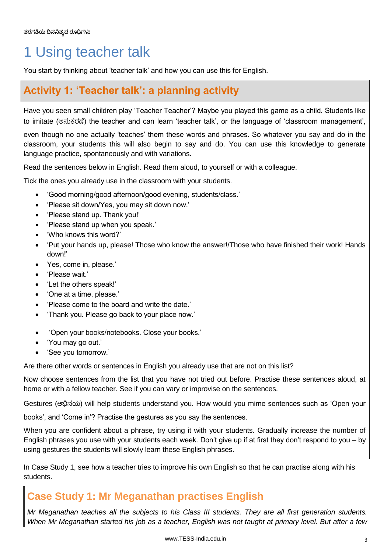# 1 Using teacher talk

You start by thinking about 'teacher talk' and how you can use this for English.

### **Activity 1: 'Teacher talk': a planning activity**

Have you seen small children play 'Teacher Teacher'? Maybe you played this game as a child. Students like to imitate (಄ನಟಕ್ರಣೆ) the teacher and can learn 'teacher talk', or the language of 'classroom management',

even though no one actually 'teaches' them these words and phrases. So whatever you say and do in the classroom, your students this will also begin to say and do. You can use this knowledge to generate language practice, spontaneously and with variations.

Read the sentences below in English. Read them aloud, to yourself or with a colleague.

Tick the ones you already use in the classroom with your students.

- 'Good morning/good afternoon/good evening, students/class.'
- 'Please sit down/Yes, you may sit down now.'
- 'Please stand up. Thank you!'
- 'Please stand up when you speak.'
- 'Who knows this word?'
- 'Put your hands up, please! Those who know the answer!/Those who have finished their work! Hands down!'
- Yes, come in, please.'
- 'Please wait.'
- 'Let the others speak!'
- 'One at a time, please.'
- 'Please come to the board and write the date.'
- 'Thank you. Please go back to your place now.'
- 'Open your books/notebooks. Close your books.'
- 'You may go out.'
- 'See you tomorrow.'

Are there other words or sentences in English you already use that are not on this list?

Now choose sentences from the list that you have not tried out before. Practise these sentences aloud, at home or with a fellow teacher. See if you can vary or improvise on the sentences.

Gestures (಄ಭಿನಯ) will help students understand you. How would you mime sentences such as 'Open your

books', and 'Come in'? Practise the gestures as you say the sentences.

When you are confident about a phrase, try using it with your students. Gradually increase the number of English phrases you use with your students each week. Don't give up if at first they don't respond to you – by using gestures the students will slowly learn these English phrases.

In Case Study 1, see how a teacher tries to improve his own English so that he can practise along with his students.

### **Case Study 1: Mr Meganathan practises English**

*Mr Meganathan teaches all the subjects to his Class III students. They are all first generation students. When Mr Meganathan started his job as a teacher, English was not taught at primary level. But after a few*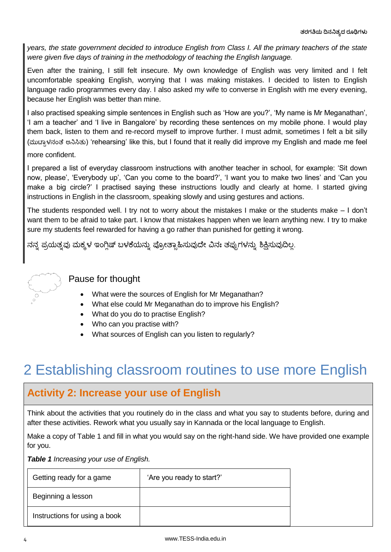*years, the state government decided to introduce English from Class I. All the primary teachers of the state were given five days of training in the methodology of teaching the English language.* 

Even after the training, I still felt insecure. My own knowledge of English was very limited and I felt uncomfortable speaking English, worrying that I was making mistakes. I decided to listen to English language radio programmes every day. I also asked my wife to converse in English with me every evening, because her English was better than mine.

I also practised speaking simple sentences in English such as 'How are you?', 'My name is Mr Meganathan', 'I am a teacher' and 'I live in Bangalore' by recording these sentences on my mobile phone. I would play them back, listen to them and re-record myself to improve further. I must admit, sometimes I felt a bit silly (ಮುಟಾಳನಂತೆ ಅನಿಸಿತು) 'rehearsing' like this, but I found that it really did improve my English and made me feel more confident.

I prepared a list of everyday classroom instructions with another teacher in school, for example: 'Sit down now, please', 'Everybody up', 'Can you come to the board?', 'I want you to make two lines' and 'Can you make a big circle?' I practised saying these instructions loudly and clearly at home. I started giving instructions in English in the classroom, speaking slowly and using gestures and actions.

The students responded well. I try not to worry about the mistakes I make or the students make – I don't want them to be afraid to take part. I know that mistakes happen when we learn anything new. I try to make sure my students feel rewarded for having a go rather than punished for getting it wrong.

ನನ್ನ ಪ್ರಯತ್ನವು ಮಕ್ಕಳ ಇಂಗ್ಲಿಷ್ ಬಳಕೆಯನ್ನು ಪ್ರೋತ್ಸಾಹಿಸುವುದೇ ವಿನಃ ತಪ್ಪುಗಳನ್ನು ಶಿಕ್ಷಿಸುವುದಿಲ್ಲ.



### Pause for thought

- What were the sources of English for Mr Meganathan?
- What else could Mr Meganathan do to improve his English?
- What do you do to practise English?
- Who can you practise with?
- What sources of English can you listen to regularly?

# 2 Establishing classroom routines to use more English

### **Activity 2: Increase your use of English**

Think about the activities that you routinely do in the class and what you say to students before, during and after these activities. Rework what you usually say in Kannada or the local language to English.

Make a copy of Table 1 and fill in what you would say on the right-hand side. We have provided one example for you.

*Table 1 Increasing your use of English.* 

| Getting ready for a game      | 'Are you ready to start?' |
|-------------------------------|---------------------------|
| Beginning a lesson            |                           |
| Instructions for using a book |                           |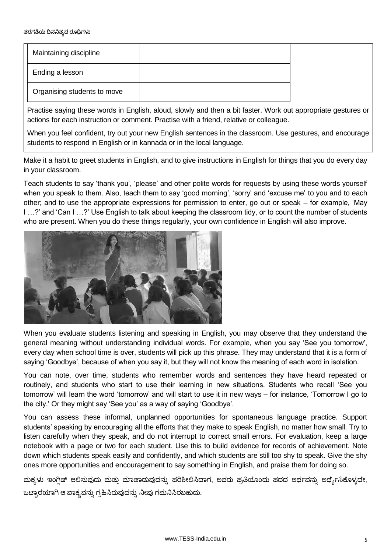| Maintaining discipline      |  |
|-----------------------------|--|
| Ending a lesson             |  |
| Organising students to move |  |

Practise saying these words in English, aloud, slowly and then a bit faster. Work out appropriate gestures or actions for each instruction or comment. Practise with a friend, relative or colleague.

When you feel confident, try out your new English sentences in the classroom. Use gestures, and encourage students to respond in English or in kannada or in the local language.

Make it a habit to greet students in English, and to give instructions in English for things that you do every day in your classroom.

Teach students to say 'thank you', 'please' and other polite words for requests by using these words yourself when you speak to them. Also, teach them to say 'good morning', 'sorry' and 'excuse me' to you and to each other; and to use the appropriate expressions for permission to enter, go out or speak – for example, 'May I …?' and 'Can I …?' Use English to talk about keeping the classroom tidy, or to count the number of students who are present. When you do these things regularly, your own confidence in English will also improve.



When you evaluate students listening and speaking in English, you may observe that they understand the general meaning without understanding individual words. For example, when you say 'See you tomorrow', every day when school time is over, students will pick up this phrase. They may understand that it is a form of saying 'Goodbye', because of when you say it, but they will not know the meaning of each word in isolation.

You can note, over time, students who remember words and sentences they have heard repeated or routinely, and students who start to use their learning in new situations. Students who recall 'See you tomorrow' will learn the word 'tomorrow' and will start to use it in new ways – for instance, 'Tomorrow I go to the city.' Or they might say 'See you' as a way of saying 'Goodbye'.

You can assess these informal, unplanned opportunities for spontaneous language practice. Support students' speaking by encouraging all the efforts that they make to speak English, no matter how small. Try to listen carefully when they speak, and do not interrupt to correct small errors. For evaluation, keep a large notebook with a page or two for each student. Use this to build evidence for records of achievement. Note down which students speak easily and confidently, and which students are still too shy to speak. Give the shy ones more opportunities and encouragement to say something in English, and praise them for doing so.

ಮಕ್ಕಳು ಇಂಗ್ಲಿಷ್ ಆಲಿಸುವುದು ಮತ್ತು ಮಾತಾಡುವುದನ್ನು ಪರಿಶೀಲಿಸಿದಾಗ, ಅವರು ಪ್ರತಿಯೊಂದು ಪದದ ಅರ್ಥವನ್ನು ಅರ್ಥೈಸಿಕೊಳ್ಳದೇ, ಒಟ್ರಾರೆಯಾಗಿ ಆ ವಾಕ್ಯವನ್ನು ಗ್ರಹಿಸಿರುವುದನ್ನು ನೀವು ಗಮನಿಸಿರಬಹುದು.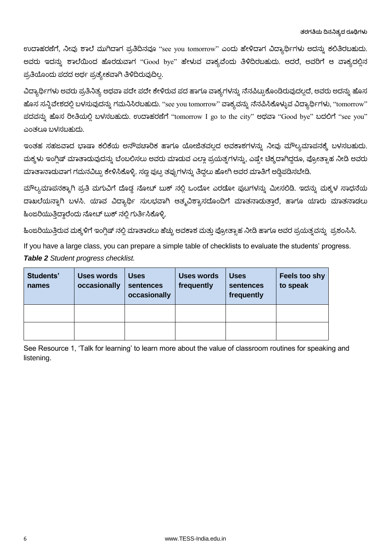ಉದಾಹರಣೆಗೆ, ನೀವು ಶಾಲೆ ಮುಗಿದಾಗ ಪ್ರತಿದಿನವೂ ''see you tomorrow'' ಎಂದು ಹೇಳಿದಾಗ ವಿದ್ಯಾರ್ಥಿಗಳು ಅದನ್ನು ಕಲಿತಿರಬಹುದು. ಅವರು ಇದನ್ನು ಶಾಲೆಯಿಂದ ಹೊರಡುವಾಗ "Good bye" ಹೇಳುವ ವಾಕ್ಯವೆಂದು ತಿಳಿದಿರಬಹುದು. ಆದರೆ, ಅವರಿಗೆ ಆ ವಾಕ್ಯದಲ್ಲಿನ ಪ್ರತಿಯೊಂದು ಪದದ ಅರ್ಥ ಪ್ರತ್ಯೇಕವಾಗಿ ತಿಳಿದಿರುವುದಿಲ್ಲ.

ವಿದ್ಯಾರ್ಥಿಗಳು ಅವರು ಪ್ರತಿನಿತ್ಯ ಅಥವಾ ಪದೇ ಪದೇ ಕೇಳಿರುವ ಪದ ಹಾಗೂ ವಾಕ್ಯಗಳನ್ನು ನೆನಪಿಟ್ಟುಕೊಂಡಿರುವುದಲ್ಲದೆ, ಅವರು ಅದನ್ನು ಹೊಸ ಹೊಸ ಸನ್ನಿವೇಶದಲ್ಲಿ ಬಳಸುವುದನ್ನು ಗಮನಿಸಿರಬಹುದು. "see you tomorrow" ವಾಕ್ಯವನ್ನು ನೆನಪಿಸಿಕೊಳ್ಳುವ ವಿದ್ಯಾರ್ಥಿಗಳು, "tomorrow" ಪದವನ್ನು ಹೊಸ ರೀತಿಯಲ್ಲಿ ಬಳಸಬಹುದು. ಉದಾಹರಣೆಗೆ "tomorrow I go to the city" ಅಥವಾ "Good bye" ಬದಲಿಗೆ "see you" ಎಂತಲೂ ಬಳಸಬಹುದು.

ಇಂತಹ ಸಹಜವಾದ ಭಾಷಾ ಕಲಿಕೆಯ ಅನೌಪಚಾರಿಕ ಹಾಗೂ ಯೋಜಿತವಲ್ಲದ ಅವಕಾಶಗಳನ್ನು ನೀವು ಮೌಲ್ಯಮಾಪನಕ್ಕೆ ಬಳಸಬಹುದು. ಮಕ್ಕಳು ಇಂಗ್ಲಿಷ್ ಮಾತಾಡುವುದನ್ನು ಬೆಂಬಲಿಸಲು ಅವರು ಮಾಡುವ ಎಲ್ಲಾ ಪ್ರಯತ್ನಗಳನ್ನು, ಎಷ್ರೇ ಚಿಕ್ಕದಾಗಿದ್ದರೂ, ಪ್ರೋತ್ಸಾಹ ನೀಡಿ ಅವರು ಮಾತಾನಾಡುವಾಗ ಗಮನವಿಟ್ಟು ಕೇಳಿಸಿಕೊಳ್ಳಿ. ಸಣ್ಣ ಪುಟ್ಟ ತಪ್ಪುಗಳನ್ನು ತಿದ್ದಲು ಹೋಗಿ ಅವರ ಮಾತಿಗೆ ಅಡ್ಡಿಪಡಿಸಬೇಡಿ.

ಮೌಲ್ಯಮಾಪನಕ್ಕಾಗಿ ಪ್ರತಿ ಮಗುವಿಗೆ ದೊಡ್ಡ ನೋಟ್ ಬುಕ್ ನಲ್ಲಿ ಒಂದೋ ಎರಡೋ ಪುಟಗಳನ್ನು ಮೀಸಲಿಡಿ. ಇದನ್ನು ಮಕ್ಕಳ ಸಾಧನೆಯ ದಾಖಲೆಯನ್ನಾಗಿ ಬಳಸಿ. ಯಾವ ವಿದ್ಯಾರ್ಥಿ ಸುಲಭವಾಗಿ ಆತ್ಮವಿಶ್ವಾಸದೊಂದಿಗೆ ಮಾತನಾಡುತ್ತಾರೆ, ಹಾಗೂ ಯಾರು ಮಾತನಾಡಲು ಹಿಂಜರಿಯುತ್ತಿದ್ದಾರೆಂದು ನೋಟ್ ಬುಕ್ ನಲ್ಲಿ ಗುರ್ತಿಸಿಕೊಳ್ಳಿ.

ಹಿಂಜರಿಯುತ್ತಿರುವ ಮಕ್ಕಳಿಗೆ ಇಂಗ್ಲಿಷ್ ನಲ್ಲಿ ಮಾತಾಡಲು ಹೆಚ್ಚು ಅವಕಾಶ ಮತ್ತು ಪ್ರೋತ್ಸಾಹ ನೀಡಿ ಹಾಗೂ ಅವರ ಪ್ರಯತ್ನವನ್ನು ಪ್ರಶಂಸಿಸಿ. If you have a large class, you can prepare a simple table of checklists to evaluate the students' progress. *Table 2 Student progress checklist.* 

| Students'<br>names | <b>Uses words</b><br>occasionally | <b>Uses</b><br>sentences<br>occasionally | Uses words<br>frequently | <b>Uses</b><br>sentences<br>frequently | Feels too shy<br>to speak |
|--------------------|-----------------------------------|------------------------------------------|--------------------------|----------------------------------------|---------------------------|
|                    |                                   |                                          |                          |                                        |                           |
|                    |                                   |                                          |                          |                                        |                           |

See Resource 1, 'Talk for learning' to learn more about the value of classroom routines for speaking and listening.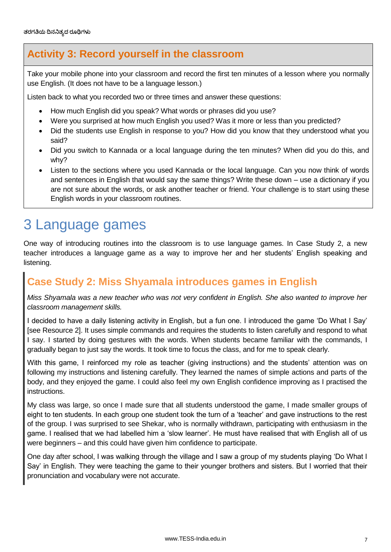### **Activity 3: Record yourself in the classroom**

Take your mobile phone into your classroom and record the first ten minutes of a lesson where you normally use English. (It does not have to be a language lesson.)

Listen back to what you recorded two or three times and answer these questions:

- How much English did you speak? What words or phrases did you use?
- Were you surprised at how much English you used? Was it more or less than you predicted?
- Did the students use English in response to you? How did you know that they understood what you said?
- Did you switch to Kannada or a local language during the ten minutes? When did you do this, and why?
- Listen to the sections where you used Kannada or the local language. Can you now think of words and sentences in English that would say the same things? Write these down – use a dictionary if you are not sure about the words, or ask another teacher or friend. Your challenge is to start using these English words in your classroom routines.

# 3 Language games

One way of introducing routines into the classroom is to use language games. In Case Study 2, a new teacher introduces a language game as a way to improve her and her students' English speaking and listening.

### **Case Study 2: Miss Shyamala introduces games in English**

*Miss Shyamala was a new teacher who was not very confident in English. She also wanted to improve her classroom management skills.* 

I decided to have a daily listening activity in English, but a fun one. I introduced the game 'Do What I Say' [see Resource 2]. It uses simple commands and requires the students to listen carefully and respond to what I say. I started by doing gestures with the words. When students became familiar with the commands, I gradually began to just say the words. It took time to focus the class, and for me to speak clearly.

With this game, I reinforced my role as teacher (giving instructions) and the students' attention was on following my instructions and listening carefully. They learned the names of simple actions and parts of the body, and they enjoyed the game. I could also feel my own English confidence improving as I practised the instructions.

My class was large, so once I made sure that all students understood the game, I made smaller groups of eight to ten students. In each group one student took the turn of a 'teacher' and gave instructions to the rest of the group. I was surprised to see Shekar, who is normally withdrawn, participating with enthusiasm in the game. I realised that we had labelled him a 'slow learner'. He must have realised that with English all of us were beginners – and this could have given him confidence to participate.

One day after school, I was walking through the village and I saw a group of my students playing 'Do What I Say' in English. They were teaching the game to their younger brothers and sisters. But I worried that their pronunciation and vocabulary were not accurate.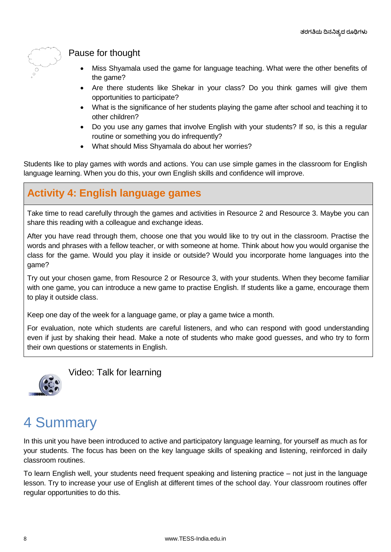

### Pause for thought

- Miss Shyamala used the game for language teaching. What were the other benefits of the game?
- Are there students like Shekar in your class? Do you think games will give them opportunities to participate?
- What is the significance of her students playing the game after school and teaching it to other children?
- Do you use any games that involve English with your students? If so, is this a regular routine or something you do infrequently?
- What should Miss Shyamala do about her worries?

Students like to play games with words and actions. You can use simple games in the classroom for English language learning. When you do this, your own English skills and confidence will improve.

### **Activity 4: English language games**

Take time to read carefully through the games and activities in Resource 2 and Resource 3. Maybe you can share this reading with a colleague and exchange ideas.

After you have read through them, choose one that you would like to try out in the classroom. Practise the words and phrases with a fellow teacher, or with someone at home. Think about how you would organise the class for the game. Would you play it inside or outside? Would you incorporate home languages into the game?

Try out your chosen game, from Resource 2 or Resource 3, with your students. When they become familiar with one game, you can introduce a new game to practise English. If students like a game, encourage them to play it outside class.

Keep one day of the week for a language game, or play a game twice a month.

For evaluation, note which students are careful listeners, and who can respond with good understanding even if just by shaking their head. Make a note of students who make good guesses, and who try to form their own questions or statements in English.



Video: Talk for learning

# 4 Summary

In this unit you have been introduced to active and participatory language learning, for yourself as much as for your students. The focus has been on the key language skills of speaking and listening, reinforced in daily classroom routines.

To learn English well, your students need frequent speaking and listening practice – not just in the language lesson. Try to increase your use of English at different times of the school day. Your classroom routines offer regular opportunities to do this.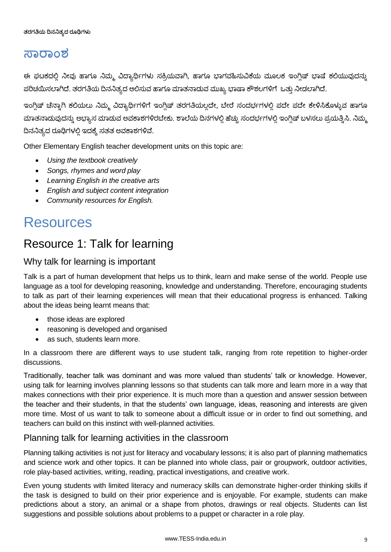### **ಸರಂಶ**

ಈ ಘಟಕದಲ್ಲಿ ನೀವು ಹಾಗೂ ನಿಮ್ಮ ವಿದ್ಯಾರ್ಥಿಗಳು ಸಕ್ರಿಯವಾಗಿ, ಹಾಗೂ ಭಾಗವಹಿಸುವಿಕೆಯ ಮೂಲಕ ಇಂಗ್ಲಿಷ್ ಭಾಷೆ ಕಲಿಯುವುದನ್ನು ಪರಿಚಯಿಸಲಾಗಿದೆ. ತರಗತಿಯ ದಿನನಿತ್ಯದ ಆಲಿಸುವ ಹಾಗೂ ಮಾತನಾಡುವ ಮುಖ್ಯ ಭಾಷಾ ಕೌಶಲಗಳಿಗೆ ಒತ್ತು ನೀಡಲಾಗಿದೆ.

ಇಂಗ್ಲಿಷ್ ಚೆನ್ನಾಗಿ ಕಲಿಯಲು ನಿಮ್ಮ ವಿದ್ಯಾರ್ಥಿಗಳಿಗೆ ಇಂಗ್ಲಿಷ್ ತರಗತಿಯಲ್ಲದೇ, ಬೇರೆ ಸಂದರ್ಭಗಳಲ್ಲಿ ಪದೇ ಪದೇ ಕೇಳಿಸಿಕೊಳ್ಳುವ ಹಾಗೂ ಮಾತನಾಡುವುದನ್ನು ಅಭ್ಯಾಸ ಮಾಡುವ ಅವಕಾಶಗಳಿರಬೇಕು. ಶಾಲೆಯ ದಿನಗಳಲ್ಲಿ ಹೆಚ್ಚು ಸಂದರ್ಭಗಳಲ್ಲಿ ಇಂಗ್ಲಿಷ್ ಬಳಸಲು ಪ್ರಯತ್ನಿಸಿ. ನಿಮ್ಮ ದಿನನಿತ್ಯದ ರೂಢಿಗಳಲ್ಲಿ ಇದಕ್ಕೆ ಸತತ ಅವಕಾಶಗಳಿವೆ.

Other Elementary English teacher development units on this topic are:

- *Using the textbook creatively*
- *Songs, rhymes and word play*
- *Learning English in the creative arts*
- *English and subject content integration*
- *Community resources for English.*

# **Resources**

### Resource 1: Talk for learning

### Why talk for learning is important

Talk is a part of human development that helps us to think, learn and make sense of the world. People use language as a tool for developing reasoning, knowledge and understanding. Therefore, encouraging students to talk as part of their learning experiences will mean that their educational progress is enhanced. Talking about the ideas being learnt means that:

- those ideas are explored
- reasoning is developed and organised
- as such, students learn more.

In a classroom there are different ways to use student talk, ranging from rote repetition to higher-order discussions.

Traditionally, teacher talk was dominant and was more valued than students' talk or knowledge. However, using talk for learning involves planning lessons so that students can talk more and learn more in a way that makes connections with their prior experience. It is much more than a question and answer session between the teacher and their students, in that the students' own language, ideas, reasoning and interests are given more time. Most of us want to talk to someone about a difficult issue or in order to find out something, and teachers can build on this instinct with well-planned activities.

#### Planning talk for learning activities in the classroom

Planning talking activities is not just for literacy and vocabulary lessons; it is also part of planning mathematics and science work and other topics. It can be planned into whole class, pair or groupwork, outdoor activities, role play-based activities, writing, reading, practical investigations, and creative work.

Even young students with limited literacy and numeracy skills can demonstrate higher-order thinking skills if the task is designed to build on their prior experience and is enjoyable. For example, students can make predictions about a story, an animal or a shape from photos, drawings or real objects. Students can list suggestions and possible solutions about problems to a puppet or character in a role play.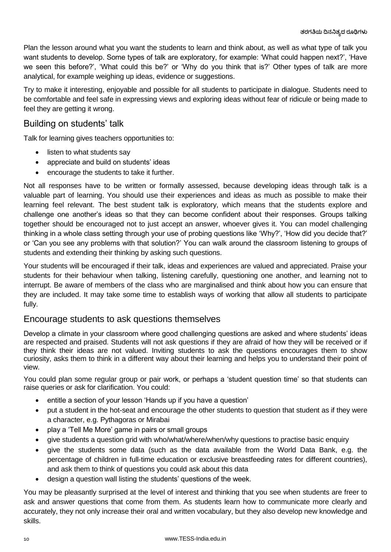Plan the lesson around what you want the students to learn and think about, as well as what type of talk you want students to develop. Some types of talk are exploratory, for example: 'What could happen next?', 'Have we seen this before?', 'What could this be?' or 'Why do you think that is?' Other types of talk are more analytical, for example weighing up ideas, evidence or suggestions.

Try to make it interesting, enjoyable and possible for all students to participate in dialogue. Students need to be comfortable and feel safe in expressing views and exploring ideas without fear of ridicule or being made to feel they are getting it wrong.

### Building on students' talk

Talk for learning gives teachers opportunities to:

- listen to what students say
- appreciate and build on students' ideas
- encourage the students to take it further.

Not all responses have to be written or formally assessed, because developing ideas through talk is a valuable part of learning. You should use their experiences and ideas as much as possible to make their learning feel relevant. The best student talk is exploratory, which means that the students explore and challenge one another's ideas so that they can become confident about their responses. Groups talking together should be encouraged not to just accept an answer, whoever gives it. You can model challenging thinking in a whole class setting through your use of probing questions like 'Why?', 'How did you decide that?' or 'Can you see any problems with that solution?' You can walk around the classroom listening to groups of students and extending their thinking by asking such questions.

Your students will be encouraged if their talk, ideas and experiences are valued and appreciated. Praise your students for their behaviour when talking, listening carefully, questioning one another, and learning not to interrupt. Be aware of members of the class who are marginalised and think about how you can ensure that they are included. It may take some time to establish ways of working that allow all students to participate fully.

#### Encourage students to ask questions themselves

Develop a climate in your classroom where good challenging questions are asked and where students' ideas are respected and praised. Students will not ask questions if they are afraid of how they will be received or if they think their ideas are not valued. Inviting students to ask the questions encourages them to show curiosity, asks them to think in a different way about their learning and helps you to understand their point of view.

You could plan some regular group or pair work, or perhaps a 'student question time' so that students can raise queries or ask for clarification. You could:

- entitle a section of your lesson 'Hands up if you have a question'
- put a student in the hot-seat and encourage the other students to question that student as if they were a character, e.g. Pythagoras or Mirabai
- play a 'Tell Me More' game in pairs or small groups
- give students a question grid with who/what/where/when/why questions to practise basic enquiry
- give the students some data (such as the data available from the World Data Bank, e.g. the percentage of children in full-time education or exclusive breastfeeding rates for different countries), and ask them to think of questions you could ask about this data
- design a question wall listing the students' questions of the week.

You may be pleasantly surprised at the level of interest and thinking that you see when students are freer to ask and answer questions that come from them. As students learn how to communicate more clearly and accurately, they not only increase their oral and written vocabulary, but they also develop new knowledge and skills.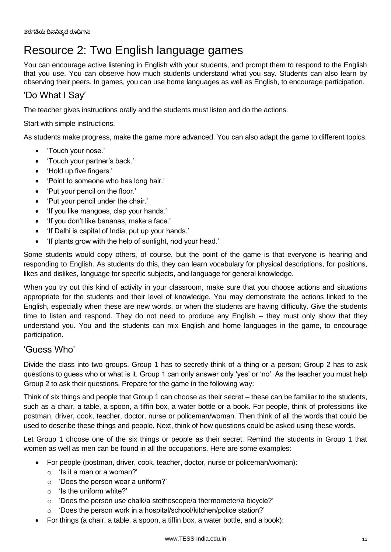## Resource 2: Two English language games

You can encourage active listening in English with your students, and prompt them to respond to the English that you use. You can observe how much students understand what you say. Students can also learn by observing their peers. In games, you can use home languages as well as English, to encourage participation.

### 'Do What I Say'

The teacher gives instructions orally and the students must listen and do the actions.

Start with simple instructions.

As students make progress, make the game more advanced. You can also adapt the game to different topics.

- 'Touch your nose.'
- 'Touch your partner's back.'
- 'Hold up five fingers.'
- 'Point to someone who has long hair.'
- 'Put your pencil on the floor.'
- 'Put your pencil under the chair.'
- 'If you like mangoes, clap your hands.'
- 'If you don't like bananas, make a face.'
- 'If Delhi is capital of India, put up your hands.'
- 'If plants grow with the help of sunlight, nod your head.'

Some students would copy others, of course, but the point of the game is that everyone is hearing and responding to English. As students do this, they can learn vocabulary for physical descriptions, for positions, likes and dislikes, language for specific subjects, and language for general knowledge.

When you try out this kind of activity in your classroom, make sure that you choose actions and situations appropriate for the students and their level of knowledge. You may demonstrate the actions linked to the English, especially when these are new words, or when the students are having difficulty. Give the students time to listen and respond. They do not need to produce any English – they must only show that they understand you. You and the students can mix English and home languages in the game, to encourage participation.

#### 'Guess Who'

Divide the class into two groups. Group 1 has to secretly think of a thing or a person; Group 2 has to ask questions to guess who or what is it. Group 1 can only answer only 'yes' or 'no'. As the teacher you must help Group 2 to ask their questions. Prepare for the game in the following way:

Think of six things and people that Group 1 can choose as their secret – these can be familiar to the students, such as a chair, a table, a spoon, a tiffin box, a water bottle or a book. For people, think of professions like postman, driver, cook, teacher, doctor, nurse or policeman/woman. Then think of all the words that could be used to describe these things and people. Next, think of how questions could be asked using these words.

Let Group 1 choose one of the six things or people as their secret. Remind the students in Group 1 that women as well as men can be found in all the occupations. Here are some examples:

- For people (postman, driver, cook, teacher, doctor, nurse or policeman/woman):
	- o 'Is it a man or a woman?'
	- o 'Does the person wear a uniform?'
	- o 'Is the uniform white?'
	- o 'Does the person use chalk/a stethoscope/a thermometer/a bicycle?'
	- o 'Does the person work in a hospital/school/kitchen/police station?'
- For things (a chair, a table, a spoon, a tiffin box, a water bottle, and a book):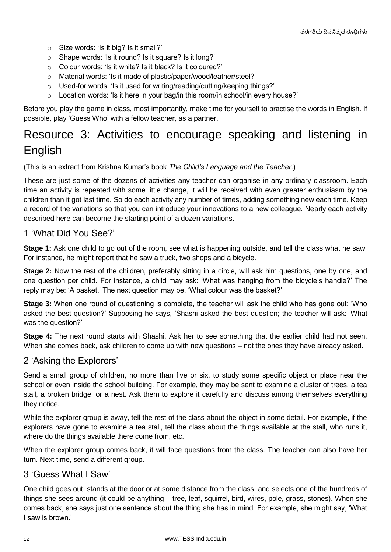- o Size words: 'Is it big? Is it small?'
- o Shape words: 'Is it round? Is it square? Is it long?'
- o Colour words: 'Is it white? Is it black? Is it coloured?'
- o Material words: 'Is it made of plastic/paper/wood/leather/steel?'
- o Used-for words: 'Is it used for writing/reading/cutting/keeping things?'
- $\circ$  Location words: 'Is it here in your bag/in this room/in school/in every house?'

Before you play the game in class, most importantly, make time for yourself to practise the words in English. If possible, play 'Guess Who' with a fellow teacher, as a partner.

## Resource 3: Activities to encourage speaking and listening in English

(This is an extract from Krishna Kumar's book *The Child's Language and the Teacher*.)

These are just some of the dozens of activities any teacher can organise in any ordinary classroom. Each time an activity is repeated with some little change, it will be received with even greater enthusiasm by the children than it got last time. So do each activity any number of times, adding something new each time. Keep a record of the variations so that you can introduce your innovations to a new colleague. Nearly each activity described here can become the starting point of a dozen variations.

#### 1 'What Did You See?'

**Stage 1:** Ask one child to go out of the room, see what is happening outside, and tell the class what he saw. For instance, he might report that he saw a truck, two shops and a bicycle.

**Stage 2:** Now the rest of the children, preferably sitting in a circle, will ask him questions, one by one, and one question per child. For instance, a child may ask: 'What was hanging from the bicycle's handle?' The reply may be: 'A basket.' The next question may be, 'What colour was the basket?'

**Stage 3:** When one round of questioning is complete, the teacher will ask the child who has gone out: 'Who asked the best question?' Supposing he says, 'Shashi asked the best question; the teacher will ask: 'What was the question?'

**Stage 4:** The next round starts with Shashi. Ask her to see something that the earlier child had not seen. When she comes back, ask children to come up with new questions – not the ones they have already asked.

#### 2 'Asking the Explorers'

Send a small group of children, no more than five or six, to study some specific object or place near the school or even inside the school building. For example, they may be sent to examine a cluster of trees, a tea stall, a broken bridge, or a nest. Ask them to explore it carefully and discuss among themselves everything they notice.

While the explorer group is away, tell the rest of the class about the object in some detail. For example, if the explorers have gone to examine a tea stall, tell the class about the things available at the stall, who runs it, where do the things available there come from, etc.

When the explorer group comes back, it will face questions from the class. The teacher can also have her turn. Next time, send a different group.

#### 3 'Guess What I Saw'

One child goes out, stands at the door or at some distance from the class, and selects one of the hundreds of things she sees around (it could be anything – tree, leaf, squirrel, bird, wires, pole, grass, stones). When she comes back, she says just one sentence about the thing she has in mind. For example, she might say, 'What I saw is brown.'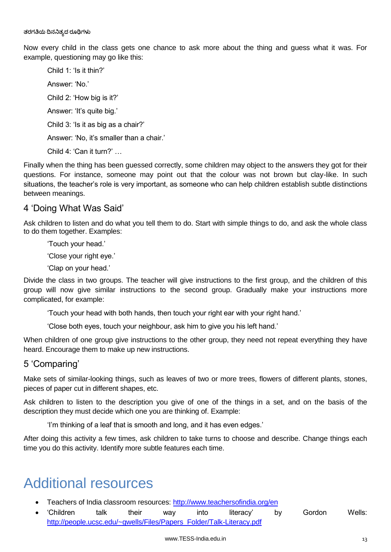Now every child in the class gets one chance to ask more about the thing and guess what it was. For example, questioning may go like this:

Child 1: 'Is it thin?' Answer: 'No.' Child 2: 'How big is it?' Answer: 'It's quite big.' Child 3: 'Is it as big as a chair?' Answer: 'No, it's smaller than a chair.' Child 4: 'Can it turn?' …

Finally when the thing has been guessed correctly, some children may object to the answers they got for their questions. For instance, someone may point out that the colour was not brown but clay-like. In such situations, the teacher's role is very important, as someone who can help children establish subtle distinctions between meanings.

#### 4 'Doing What Was Said'

Ask children to listen and do what you tell them to do. Start with simple things to do, and ask the whole class to do them together. Examples:

'Touch your head.'

'Close your right eye.'

'Clap on your head.'

Divide the class in two groups. The teacher will give instructions to the first group, and the children of this group will now give similar instructions to the second group. Gradually make your instructions more complicated, for example:

'Touch your head with both hands, then touch your right ear with your right hand.'

'Close both eyes, touch your neighbour, ask him to give you his left hand.'

When children of one group give instructions to the other group, they need not repeat everything they have heard. Encourage them to make up new instructions.

#### 5 'Comparing'

Make sets of similar-looking things, such as leaves of two or more trees, flowers of different plants, stones, pieces of paper cut in different shapes, etc.

Ask children to listen to the description you give of one of the things in a set, and on the basis of the description they must decide which one you are thinking of. Example:

'I'm thinking of a leaf that is smooth and long, and it has even edges.'

After doing this activity a few times, ask children to take turns to choose and describe. Change things each time you do this activity. Identify more subtle features each time.

# Additional resources

- Teachers of India classroom resources:<http://www.teachersofindia.org/en>
- Children talk their way into literacy' by Gordon Wells: [http://people.ucsc.edu/~gwells/Files/Papers\\_Folder/Talk-Literacy.pdf](http://people.ucsc.edu/~gwells/Files/Papers_Folder/Talk-Literacy.pdf)